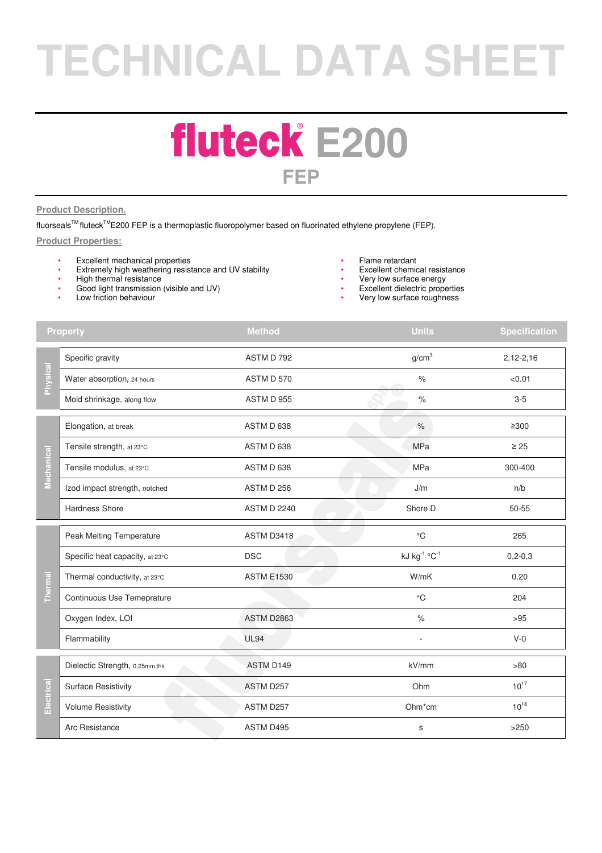# **TECHNICAL DATA SHEET**

### **fluteck E200 FEP**

#### **Product Description.**

fluorseals™ fluteck<sup>™</sup>E200 FEP is a thermoplastic fluoropolymer based on fluorinated ethylene propylene (FEP).

#### **Product Properties:**

- Excellent mechanical properties<br>• Extremely high weathering resisting
- Extremely high weathering resistance and UV stability
- High thermal resistance
- Good light transmission (visible and UV)
- Low friction behaviour
- Flame retardant
- Excellent chemical resistance<br>• Very low surface energy
- Very low surface energy
- Excellent dielectric properties
- Very low surface roughness

| <b>Property</b> |                                 | <b>Method</b>      | <b>Units</b>      | <b>Specification</b> |
|-----------------|---------------------------------|--------------------|-------------------|----------------------|
| Physical        | Specific gravity                | ASTM D 792         | g/cm <sup>3</sup> | $2,12-2,16$          |
|                 | Water absorption, 24 hours      | ASTM D 570         | $\%$              | < 0.01               |
|                 | Mold shrinkage, along flow      | ASTM D 955         | $\%$              | $3 - 5$              |
| Mechanical      | Elongation, at break            | ASTM D 638         | $\%$              | $≥300$               |
|                 | Tensile strength, at 23°C       | ASTM D 638         | <b>MPa</b>        | $\geq 25$            |
|                 | Tensile modulus, at 23°C        | ASTM D 638         | <b>MPa</b>        | 300-400              |
|                 | Izod impact strength, notched   | ASTM D 256         | J/m               | n/b                  |
|                 | <b>Hardness Shore</b>           | <b>ASTM D 2240</b> | Shore D           | 50-55                |
| Thermal         | Peak Melting Temperature        | ASTM D3418         | $^{\circ}C$       | 265                  |
|                 | Specific heat capacity, at 23°C | <b>DSC</b>         | kJ kg-1 °C-1      | $0, 2 - 0, 3$        |
|                 | Thermal conductivity, at 23°C   | <b>ASTM E1530</b>  | W/mK              | 0.20                 |
|                 | Continuous Use Temeprature      |                    | $^{\circ}$ C      | 204                  |
|                 | Oxygen Index, LOI               | <b>ASTM D2863</b>  | $\%$              | >95                  |
|                 | Flammability                    | <b>UL94</b>        | ä,                | $V-0$                |
| Electrica       | Dielectic Strength, 0,25mm thk  | ASTM D149          | kV/mm             | >80                  |
|                 | <b>Surface Resistivity</b>      | ASTM D257          | Ohm               | $10^{17}$            |
|                 | <b>Volume Resistivity</b>       | ASTM D257          | Ohm*cm            | $10^{18}$            |
|                 | Arc Resistance                  | ASTM D495          | $\mathbb S$       | >250                 |